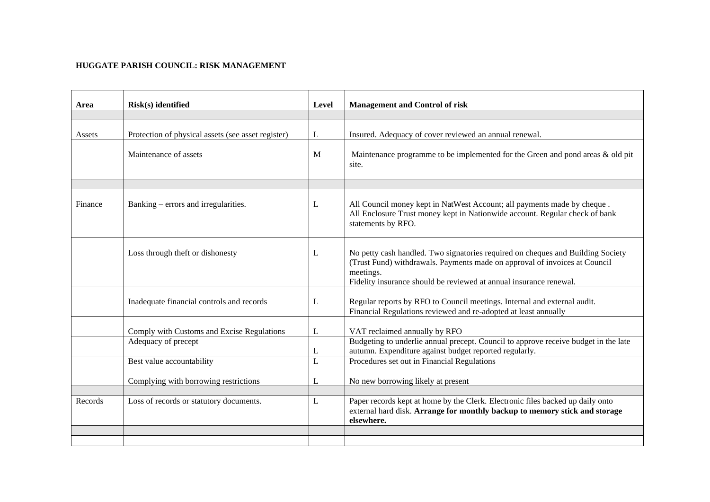## **HUGGATE PARISH COUNCIL: RISK MANAGEMENT**

| Area    | Risk(s) identified                                 | Level | <b>Management and Control of risk</b>                                                                                                                                                                                                            |
|---------|----------------------------------------------------|-------|--------------------------------------------------------------------------------------------------------------------------------------------------------------------------------------------------------------------------------------------------|
|         |                                                    |       |                                                                                                                                                                                                                                                  |
| Assets  | Protection of physical assets (see asset register) | L     | Insured. Adequacy of cover reviewed an annual renewal.                                                                                                                                                                                           |
|         | Maintenance of assets                              | M     | Maintenance programme to be implemented for the Green and pond areas $\&$ old pit<br>site.                                                                                                                                                       |
|         |                                                    |       |                                                                                                                                                                                                                                                  |
| Finance | Banking – errors and irregularities.               | L     | All Council money kept in NatWest Account; all payments made by cheque.<br>All Enclosure Trust money kept in Nationwide account. Regular check of bank<br>statements by RFO.                                                                     |
|         | Loss through theft or dishonesty                   | L     | No petty cash handled. Two signatories required on cheques and Building Society<br>(Trust Fund) withdrawals. Payments made on approval of invoices at Council<br>meetings.<br>Fidelity insurance should be reviewed at annual insurance renewal. |
|         | Inadequate financial controls and records          | L     | Regular reports by RFO to Council meetings. Internal and external audit.<br>Financial Regulations reviewed and re-adopted at least annually                                                                                                      |
|         | Comply with Customs and Excise Regulations         | L     | VAT reclaimed annually by RFO                                                                                                                                                                                                                    |
|         | Adequacy of precept                                | L     | Budgeting to underlie annual precept. Council to approve receive budget in the late<br>autumn. Expenditure against budget reported regularly.                                                                                                    |
|         | Best value accountability                          | L     | Procedures set out in Financial Regulations                                                                                                                                                                                                      |
|         | Complying with borrowing restrictions              | L     | No new borrowing likely at present                                                                                                                                                                                                               |
| Records | Loss of records or statutory documents.            | L     | Paper records kept at home by the Clerk. Electronic files backed up daily onto<br>external hard disk. Arrange for monthly backup to memory stick and storage<br>elsewhere.                                                                       |
|         |                                                    |       |                                                                                                                                                                                                                                                  |